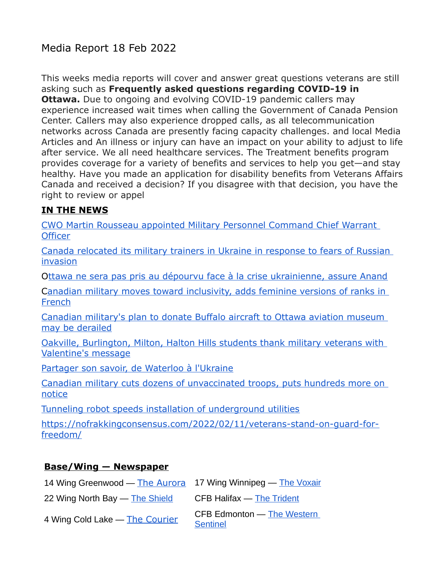### Media Report 18 Feb 2022

This weeks media reports will cover and answer great questions veterans are still asking such as **Frequently asked questions regarding COVID-19 in Ottawa.** Due to ongoing and evolving COVID-19 pandemic callers may experience increased wait times when calling the Government of Canada Pension Center. Callers may also experience dropped calls, as all telecommunication networks across Canada are presently facing capacity challenges. and local Media Articles and An illness or injury can have an impact on your ability to adjust to life after service. We all need healthcare services. The Treatment benefits program provides coverage for a variety of benefits and services to help you get—and stay healthy. Have you made an application for disability benefits from Veterans Affairs Canada and received a decision? If you disagree with that decision, you have the right to review or appel

#### **IN THE NEWS**

[CWO Martin Rousseau appointed Military Personnel Command Chief Warrant](http://sm1.multiview.com/t/gcH1AAdbaBPWMMQfQLDMbCTYmWaaCCvFQRUoaaaaCCvBRAM2K7aa?q=wbgYuXqpifhig~2513Yhio.khq~amp;g=qhaeodkvclboa~257xeboi.qbw~amp;i=C~amp;u=)  **[Officer](http://sm1.multiview.com/t/gcH1AAdbaBPWMMQfQLDMbCTYmWaaCCvFQRUoaaaaCCvBRAM2K7aa?q=wbgYuXqpifhig~2513Yhio.khq~amp;g=qhaeodkvclboa~257xeboi.qbw~amp;i=C~amp;u=)** 

[Canada relocated its military trainers in Ukraine in response to fears of Russian](http://sm1.multiview.com/t/gcH1AAdbaBPWMMQfQLDMbCTYmWaaCCvFQRUoaaaaCCvBRAM2K7aa?q=wbgYuXqpifhig~2513Yhio.khq~amp;g=qhaeodkvclboa~257xeboi.qbw~amp;i=Ef~amp;0=)  [invasion](http://sm1.multiview.com/t/gcH1AAdbaBPWMMQfQLDMbCTYmWaaCCvFQRUoaaaaCCvBRAM2K7aa?q=wbgYuXqpifhig~2513Yhio.khq~amp;g=qhaeodkvclboa~257xeboi.qbw~amp;i=Ef~amp;0=)

[Ottawa ne sera pas pris au dépourvu face à la crise ukrainienne, assure Anand](http://sm1.multiview.com/t/gcH1AAdbaBPWMMQfQLDMbCTYmWaaCCvFQRUoaaaaCCvBRAM2K7aa?q=wbgYuXqpifhig~2513Yhio.khq~amp;g=qhaeodkvclboa~257xeboi.qbw~amp;i=Eh~amp;0=)

[Canadian military moves toward inclusivity, adds feminine versions of ranks in](http://sm1.multiview.com/t/gcH1AAdbaBPWMMQfQLDMbCTYmWaaCCvFQRUoaaaaCCvBRAM2K7aa?q=wbgYuXqpifhig~2513Yhio.khq~amp;g=qhaeodkvclboa~257xeboi.qbw~amp;i=Ej~amp;0=)  **[French](http://sm1.multiview.com/t/gcH1AAdbaBPWMMQfQLDMbCTYmWaaCCvFQRUoaaaaCCvBRAM2K7aa?q=wbgYuXqpifhig~2513Yhio.khq~amp;g=qhaeodkvclboa~257xeboi.qbw~amp;i=Ej~amp;0=)** 

[Canadian military's plan to donate Buffalo aircraft to Ottawa aviation museum](http://sm1.multiview.com/t/gcH1AAdbaBPWMMQfQLDMbCTYmWaaCCvFQRUoaaaaCCvBRAM2K7aa?q=wbgYuXqpifhig~2513Yhio.khq~amp;g=qhaeodkvclboa~257xeboi.qbw~amp;i=El~amp;0=)  [may be derailed](http://sm1.multiview.com/t/gcH1AAdbaBPWMMQfQLDMbCTYmWaaCCvFQRUoaaaaCCvBRAM2K7aa?q=wbgYuXqpifhig~2513Yhio.khq~amp;g=qhaeodkvclboa~257xeboi.qbw~amp;i=El~amp;0=)

[Oakville, Burlington, Milton, Halton Hills students thank military veterans with](http://sm1.multiview.com/t/gcH1AAdbaBPWMMQfQLDMbCTYmWaaCCvFQRUoaaaaCCvBRAM2K7aa?q=wbgYuXqpifhig~2513Yhio.khq~amp;g=qhaeodkvclboa~257xeboi.qbw~amp;i=En~amp;0=)  [Valentine's message](http://sm1.multiview.com/t/gcH1AAdbaBPWMMQfQLDMbCTYmWaaCCvFQRUoaaaaCCvBRAM2K7aa?q=wbgYuXqpifhig~2513Yhio.khq~amp;g=qhaeodkvclboa~257xeboi.qbw~amp;i=En~amp;0=)

[Partager son savoir, de Waterloo à l'Ukraine](http://sm1.multiview.com/t/gcH1AAdbaBPWMMQfQLDMbCTYmWaaCCvFQRUoaaaaCCvBRAM2K7aa?q=wbgYuXqpifhig~2513Yhio.khq~amp;g=qhaeodkvclboa~257xeboi.qbw~amp;i=Ep~amp;0=)

[Canadian military cuts dozens of unvaccinated troops, puts hundreds more on](http://sm1.multiview.com/t/gcH1AAdbaBPWMMQfQLDMbCTYmWaaCCvFQRUoaaaaCCvBRAM2K7aa?q=wbgYuXqpifhig~2513Yhio.khq~amp;g=qhaeodkvclboa~257xeboi.qbw~amp;i=Er~amp;0=)  [notice](http://sm1.multiview.com/t/gcH1AAdbaBPWMMQfQLDMbCTYmWaaCCvFQRUoaaaaCCvBRAM2K7aa?q=wbgYuXqpifhig~2513Yhio.khq~amp;g=qhaeodkvclboa~257xeboi.qbw~amp;i=Er~amp;0=)

[Tunneling robot speeds installation of underground utilities](http://sm1.multiview.com/t/gcH1AAdbaBPWMMQfQLDMbCTYmWaaCCvFQRUoaaaaCCvBRAM2K7aa?q=wbgYuXqpifhig~2513Yhio.khq~amp;g=qhaeodkvclboa~257xeboi.qbw~amp;i=Et~amp;0=)

[https://nofrakkingconsensus.com/2022/02/11/veterans-stand-on-guard-for](https://nofrakkingconsensus.com/2022/02/11/veterans-stand-on-guard-for-freedom/)[freedom/](https://nofrakkingconsensus.com/2022/02/11/veterans-stand-on-guard-for-freedom/)

#### **Base/Wing — Newspaper**

| 14 Wing Greenwood — The Aurora 17 Wing Winnipeg — The Voxair |                                               |
|--------------------------------------------------------------|-----------------------------------------------|
| 22 Wing North Bay - The Shield                               | CFB Halifax $-$ The Trident                   |
| 4 Wing Cold Lake - The Courier                               | CFB Edmonton - The Western<br><b>Sentinel</b> |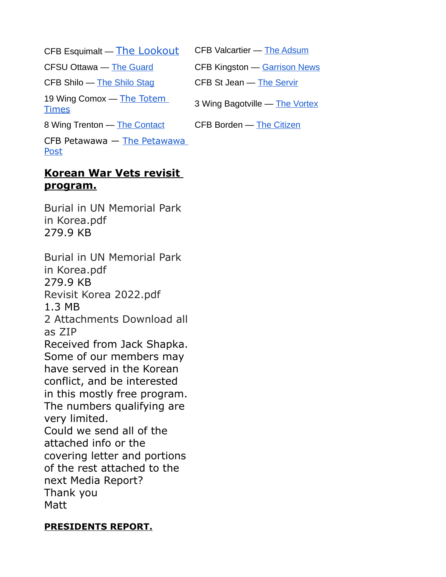CFB Esquimalt  $\overline{\phantom{m}}$  [The Lookout](http://sm1.multiview.com/t/gcH1AAdbaBPWMMQfQLDMbCTYmWaaCCvFQRUoaaaaCCvBRAM2K7aa?q=wbgYuXqpifhig~2513Yhio.khq~amp;g=qhaeodkvclboa~257xeboi.qbw~amp;i=j~amp;u=) CFB Valcartier  $\overline{\phantom{m}}$  [The Adsum](http://sm1.multiview.com/t/gcH1AAdbaBPWMMQfQLDMbCTYmWaaCCvFQRUoaaaaCCvBRAM2K7aa?q=wbgYuXqpifhig~2513Yhio.khq~amp;g=qhaeodkvclboa~257xeboi.qbw~amp;i=k~amp;u=) CFSU Ottawa — [The Guard](http://sm1.multiview.com/t/gcH1AAdbaBPWMMQfQLDMbCTYmWaaCCvFQRUoaaaaCCvBRAM2K7aa?q=wbgYuXqpifhig~2513Yhio.khq~amp;g=qhaeodkvclboa~257xeboi.qbw~amp;i=l~amp;u=) CFB Kingston — [Garrison News](http://sm1.multiview.com/t/gcH1AAdbaBPWMMQfQLDMbCTYmWaaCCvFQRUoaaaaCCvBRAM2K7aa?q=wbgYuXqpifhig~2513Yhio.khq~amp;g=qhaeodkvclboa~257xeboi.qbw~amp;i=m~amp;u=) CFB Shilo — [The Shilo Stag](http://sm1.multiview.com/t/gcH1AAdbaBPWMMQfQLDMbCTYmWaaCCvFQRUoaaaaCCvBRAM2K7aa?q=wbgYuXqpifhig~2513Yhio.khq~amp;g=qhaeodkvclboa~257xeboi.qbw~amp;i=n~amp;u=) CFB St Jean — [The Servir](http://sm1.multiview.com/t/gcH1AAdbaBPWMMQfQLDMbCTYmWaaCCvFQRUoaaaaCCvBRAM2K7aa?q=wbgYuXqpifhig~2513Yhio.khq~amp;g=qhaeodkvclboa~257xeboi.qbw~amp;i=o~amp;u=) 19 Wing Comox — The Totem The Vortex 3 Wing Bagotville — The Vortex<br>[Times](http://sm1.multiview.com/t/gcH1AAdbaBPWMMQfQLDMbCTYmWaaCCvFQRUoaaaaCCvBRAM2K7aa?q=wbgYuXqpifhig~2513Yhio.khq~amp;g=qhaeodkvclboa~257xeboi.qbw~amp;i=p~amp;u=) 8 Wing Trenton — [The Contact](http://sm1.multiview.com/t/gcH1AAdbaBPWMMQfQLDMbCTYmWaaCCvFQRUoaaaaCCvBRAM2K7aa?q=wbgYuXqpifhig~2513Yhio.khq~amp;g=qhaeodkvclboa~257xeboi.qbw~amp;i=r~amp;u=) CFB Borden — [The Citizen](http://sm1.multiview.com/t/gcH1AAdbaBPWMMQfQLDMbCTYmWaaCCvFQRUoaaaaCCvBRAM2K7aa?q=wbgYuXqpifhig~2513Yhio.khq~amp;g=qhaeodkvclboa~257xeboi.qbw~amp;i=s~amp;u=) CFB Petawawa — [The Petawawa](http://sm1.multiview.com/t/gcH1AAdbaBPWMMQfQLDMbCTYmWaaCCvFQRUoaaaaCCvBRAM2K7aa?q=wbgYuXqpifhig~2513Yhio.khq~amp;g=qhaeodkvclboa~257xeboi.qbw~amp;i=t~amp;u=)  [Post](http://sm1.multiview.com/t/gcH1AAdbaBPWMMQfQLDMbCTYmWaaCCvFQRUoaaaaCCvBRAM2K7aa?q=wbgYuXqpifhig~2513Yhio.khq~amp;g=qhaeodkvclboa~257xeboi.qbw~amp;i=t~amp;u=)

### **Korean War Vets revisit program.**

Burial in UN Memorial Park in Korea.pdf 279.9 KB

Burial in UN Memorial Park in Korea.pdf 279.9 KB Revisit Korea 2022.pdf 1.3 MB 2 Attachments Download all as ZIP Received from Jack Shapka. Some of our members may have served in the Korean conflict, and be interested in this mostly free program. The numbers qualifying are very limited. Could we send all of the attached info or the covering letter and portions of the rest attached to the next Media Report? Thank you **Matt** 

### **PRESIDENTS REPORT.**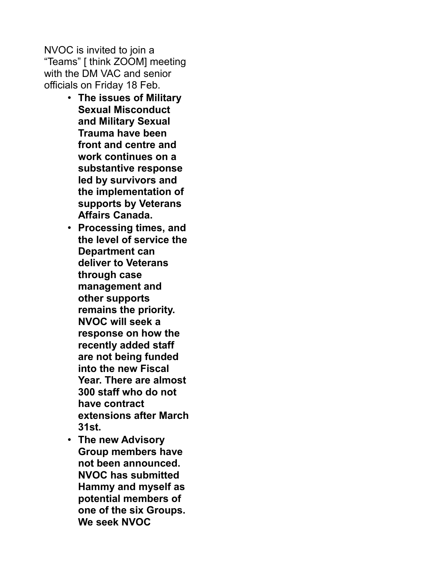NVOC is invited to join a "Teams" [ think ZOOM] meeting with the DM VAC and senior officials on Friday 18 Feb.

- **The issues of Military Sexual Misconduct and Military Sexual Trauma have been front and centre and work continues on a substantive response led by survivors and the implementation of supports by Veterans Affairs Canada.**
- **Processing times, and the level of service the Department can deliver to Veterans through case management and other supports remains the priority. NVOC will seek a response on how the recently added staff are not being funded into the new Fiscal Year. There are almost 300 staff who do not have contract extensions after March 31st.**
- **The new Advisory Group members have not been announced. NVOC has submitted Hammy and myself as potential members of one of the six Groups. We seek NVOC**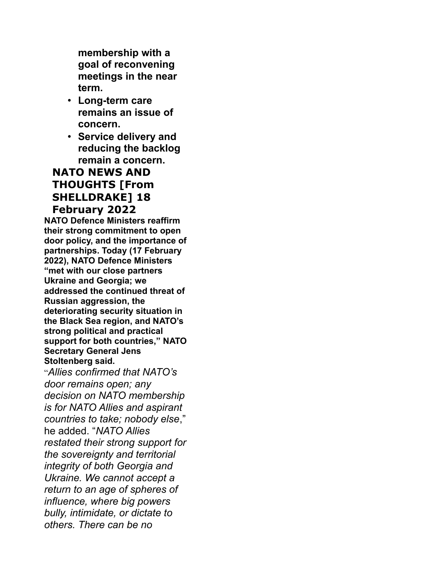**membership with a goal of reconvening meetings in the near term.**

- **Long-term care remains an issue of concern.**
- **Service delivery and reducing the backlog remain a concern.**

### **NATO NEWS AND THOUGHTS [From SHELLDRAKE] 18 February 2022**

**NATO Defence Ministers reaffirm their strong commitment to open door policy, and the importance of partnerships. Today (17 February 2022), NATO Defence Ministers "met with our close partners Ukraine and Georgia; we addressed the continued threat of Russian aggression, the deteriorating security situation in the Black Sea region, and NATO's strong political and practical support for both countries," NATO Secretary General Jens Stoltenberg said.**

"*Allies confirmed that NATO's door remains open; any decision on NATO membership is for NATO Allies and aspirant countries to take; nobody else*," he added. "*NATO Allies restated their strong support for the sovereignty and territorial integrity of both Georgia and Ukraine. We cannot accept a return to an age of spheres of influence, where big powers bully, intimidate, or dictate to others. There can be no*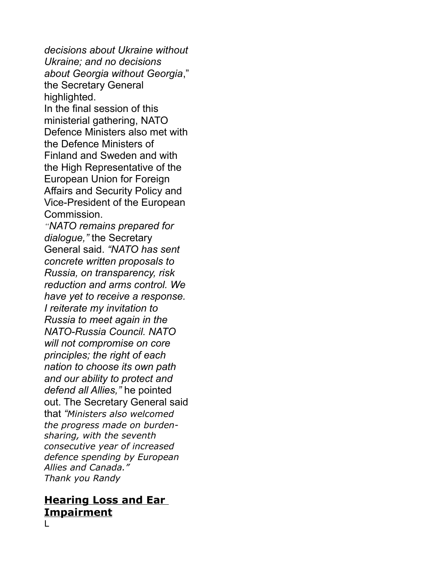*decisions about Ukraine without Ukraine; and no decisions about Georgia without Georgia*," the Secretary General highlighted. In the final session of this ministerial gathering, NATO Defence Ministers also met with the Defence Ministers of Finland and Sweden and with the High Representative of the European Union for Foreign Affairs and Security Policy and Vice-President of the European Commission. *"NATO remains prepared for dialogue,"* the Secretary General said. *"NATO has sent concrete written proposals to Russia, on transparency, risk reduction and arms control. We have yet to receive a response. I reiterate my invitation to Russia to meet again in the NATO-Russia Council. NATO will not compromise on core principles; the right of each nation to choose its own path and our ability to protect and defend all Allies,"* he pointed out. The Secretary General said that *"Ministers also welcomed the progress made on burdensharing, with the seventh consecutive year of increased defence spending by European Allies and Canada." Thank you Randy*

#### **Hearing Loss and Ear Impairment**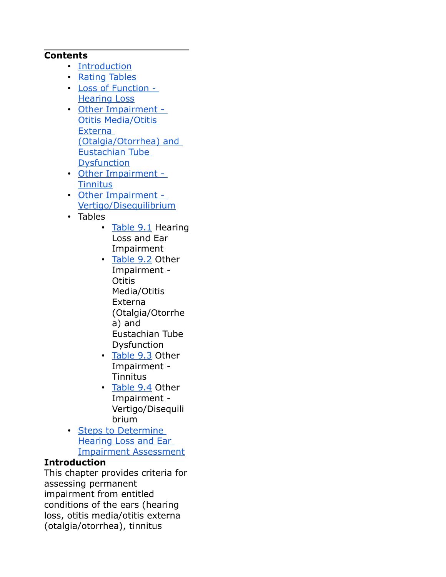#### **Contents**

- [Introduction](https://www.veterans.gc.ca/eng/health-support/physical-health-and-wellness/compensation-illness-injury/disability-benefits/benefits-determined/table-of-disabilities/ch-09-2006#a01)
- [Rating Tables](https://www.veterans.gc.ca/eng/health-support/physical-health-and-wellness/compensation-illness-injury/disability-benefits/benefits-determined/table-of-disabilities/ch-09-2006#a02)
- [Loss of Function](https://www.veterans.gc.ca/eng/health-support/physical-health-and-wellness/compensation-illness-injury/disability-benefits/benefits-determined/table-of-disabilities/ch-09-2006#a03)  [Hearing Loss](https://www.veterans.gc.ca/eng/health-support/physical-health-and-wellness/compensation-illness-injury/disability-benefits/benefits-determined/table-of-disabilities/ch-09-2006#a03)
- [Other Impairment](https://www.veterans.gc.ca/eng/health-support/physical-health-and-wellness/compensation-illness-injury/disability-benefits/benefits-determined/table-of-disabilities/ch-09-2006#a04)  **Otitis Media/Otitis** Externa [\(Otalgia/Otorrhea\) and](https://www.veterans.gc.ca/eng/health-support/physical-health-and-wellness/compensation-illness-injury/disability-benefits/benefits-determined/table-of-disabilities/ch-09-2006#a04)  Eustachian Tube **[Dysfunction](https://www.veterans.gc.ca/eng/health-support/physical-health-and-wellness/compensation-illness-injury/disability-benefits/benefits-determined/table-of-disabilities/ch-09-2006#a04)**
- [Other Impairment](https://www.veterans.gc.ca/eng/health-support/physical-health-and-wellness/compensation-illness-injury/disability-benefits/benefits-determined/table-of-disabilities/ch-09-2006#a05)  **[Tinnitus](https://www.veterans.gc.ca/eng/health-support/physical-health-and-wellness/compensation-illness-injury/disability-benefits/benefits-determined/table-of-disabilities/ch-09-2006#a05)**
- [Other Impairment](https://www.veterans.gc.ca/eng/health-support/physical-health-and-wellness/compensation-illness-injury/disability-benefits/benefits-determined/table-of-disabilities/ch-09-2006#a06)  [Vertigo/Disequilibrium](https://www.veterans.gc.ca/eng/health-support/physical-health-and-wellness/compensation-illness-injury/disability-benefits/benefits-determined/table-of-disabilities/ch-09-2006#a06)
- Tables
	- [Table 9.1](https://www.veterans.gc.ca/eng/health-support/physical-health-and-wellness/compensation-illness-injury/disability-benefits/benefits-determined/table-of-disabilities/ch-09-2006#t01) Hearing Loss and Ear Impairment
	- [Table 9.2](https://www.veterans.gc.ca/eng/health-support/physical-health-and-wellness/compensation-illness-injury/disability-benefits/benefits-determined/table-of-disabilities/ch-09-2006#t02) Other Impairment - **Otitis** Media/Otitis Externa (Otalgia/Otorrhe a) and Eustachian Tube Dysfunction
	- [Table 9.3](https://www.veterans.gc.ca/eng/health-support/physical-health-and-wellness/compensation-illness-injury/disability-benefits/benefits-determined/table-of-disabilities/ch-09-2006#t03) Other Impairment - **Tinnitus**
	- [Table 9.4](https://www.veterans.gc.ca/eng/health-support/physical-health-and-wellness/compensation-illness-injury/disability-benefits/benefits-determined/table-of-disabilities/ch-09-2006#t04) Other Impairment - Vertigo/Disequili brium
- [Steps to Determine](https://www.veterans.gc.ca/eng/health-support/physical-health-and-wellness/compensation-illness-injury/disability-benefits/benefits-determined/table-of-disabilities/ch-09-2006#a07)  [Hearing Loss and Ear](https://www.veterans.gc.ca/eng/health-support/physical-health-and-wellness/compensation-illness-injury/disability-benefits/benefits-determined/table-of-disabilities/ch-09-2006#a07)  [Impairment Assessment](https://www.veterans.gc.ca/eng/health-support/physical-health-and-wellness/compensation-illness-injury/disability-benefits/benefits-determined/table-of-disabilities/ch-09-2006#a07)

#### **Introduction**

This chapter provides criteria for assessing permanent impairment from entitled conditions of the ears (hearing loss, otitis media/otitis externa (otalgia/otorrhea), tinnitus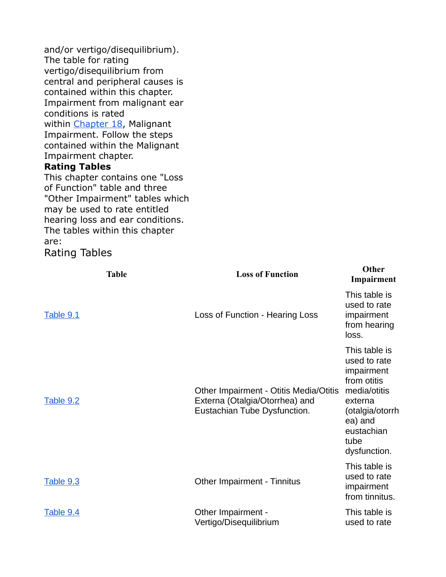and/or vertigo/disequilibrium). The table for rating vertigo/disequilibrium from central and peripheral causes is contained within this chapter. Impairment from malignant ear conditions is rated within [Chapter 18,](https://www.veterans.gc.ca/eng/services/after-injury/disability-benefits/benefits-determined/table-of-disabilities/ch-18-2006) Malignant Impairment. Follow the steps contained within the Malignant Impairment chapter.

#### **Rating Tables**

This chapter contains one "Loss of Function" table and three "Other Impairment" tables which may be used to rate entitled hearing loss and ear conditions. The tables within this chapter are:

Rating Tables

| <b>Table</b>     | <b>Loss of Function</b>                                                                                  | Other<br>Impairment                                                                                                                                       |
|------------------|----------------------------------------------------------------------------------------------------------|-----------------------------------------------------------------------------------------------------------------------------------------------------------|
| <b>Table 9.1</b> | Loss of Function - Hearing Loss                                                                          | This table is<br>used to rate<br>impairment<br>from hearing<br>loss.                                                                                      |
| Table 9.2        | Other Impairment - Otitis Media/Otitis<br>Externa (Otalgia/Otorrhea) and<br>Eustachian Tube Dysfunction. | This table is<br>used to rate<br>impairment<br>from otitis<br>media/otitis<br>externa<br>(otalgia/otorrh<br>ea) and<br>eustachian<br>tube<br>dysfunction. |
| <b>Table 9.3</b> | <b>Other Impairment - Tinnitus</b>                                                                       | This table is<br>used to rate<br>impairment<br>from tinnitus.                                                                                             |
| <b>Table 9.4</b> | Other Impairment -<br>Vertigo/Disequilibrium                                                             | This table is<br>used to rate                                                                                                                             |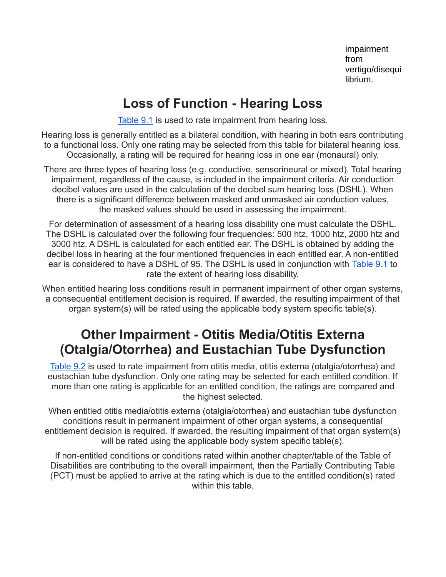impairment from vertigo/disequi librium.

## **Loss of Function - Hearing Loss**

[Table 9.1](https://www.veterans.gc.ca/eng/health-support/physical-health-and-wellness/compensation-illness-injury/disability-benefits/benefits-determined/table-of-disabilities/ch-09-2006#t01) is used to rate impairment from hearing loss.

Hearing loss is generally entitled as a bilateral condition, with hearing in both ears contributing to a functional loss. Only one rating may be selected from this table for bilateral hearing loss. Occasionally, a rating will be required for hearing loss in one ear (monaural) only.

There are three types of hearing loss (e.g. conductive, sensorineural or mixed). Total hearing impairment, regardless of the cause, is included in the impairment criteria. Air conduction decibel values are used in the calculation of the decibel sum hearing loss (DSHL). When there is a significant difference between masked and unmasked air conduction values, the masked values should be used in assessing the impairment.

For determination of assessment of a hearing loss disability one must calculate the DSHL. The DSHL is calculated over the following four frequencies: 500 htz, 1000 htz, 2000 htz and 3000 htz. A DSHL is calculated for each entitled ear. The DSHL is obtained by adding the decibel loss in hearing at the four mentioned frequencies in each entitled ear. A non-entitled ear is considered to have a DSHL of 95. The DSHL is used in conjunction with [Table 9.1](https://www.veterans.gc.ca/eng/health-support/physical-health-and-wellness/compensation-illness-injury/disability-benefits/benefits-determined/table-of-disabilities/ch-09-2006#t01) to rate the extent of hearing loss disability.

When entitled hearing loss conditions result in permanent impairment of other organ systems, a consequential entitlement decision is required. If awarded, the resulting impairment of that organ system(s) will be rated using the applicable body system specific table(s).

## **Other Impairment - Otitis Media/Otitis Externa (Otalgia/Otorrhea) and Eustachian Tube Dysfunction**

[Table 9.2](https://www.veterans.gc.ca/eng/health-support/physical-health-and-wellness/compensation-illness-injury/disability-benefits/benefits-determined/table-of-disabilities/ch-09-2006#t02) is used to rate impairment from otitis media, otitis externa (otalgia/otorrhea) and eustachian tube dysfunction. Only one rating may be selected for each entitled condition. If more than one rating is applicable for an entitled condition, the ratings are compared and the highest selected.

When entitled otitis media/otitis externa (otalgia/otorrhea) and eustachian tube dysfunction conditions result in permanent impairment of other organ systems, a consequential entitlement decision is required. If awarded, the resulting impairment of that organ system(s) will be rated using the applicable body system specific table(s).

If non-entitled conditions or conditions rated within another chapter/table of the Table of Disabilities are contributing to the overall impairment, then the Partially Contributing Table (PCT) must be applied to arrive at the rating which is due to the entitled condition(s) rated within this table.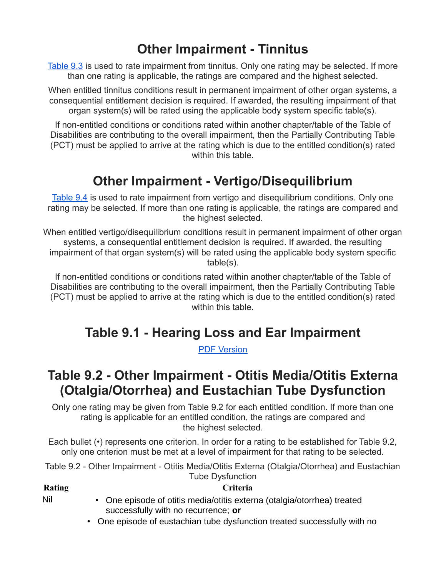# **Other Impairment - Tinnitus**

[Table 9.3](https://www.veterans.gc.ca/eng/health-support/physical-health-and-wellness/compensation-illness-injury/disability-benefits/benefits-determined/table-of-disabilities/ch-09-2006#t03) is used to rate impairment from tinnitus. Only one rating may be selected. If more than one rating is applicable, the ratings are compared and the highest selected.

When entitled tinnitus conditions result in permanent impairment of other organ systems, a consequential entitlement decision is required. If awarded, the resulting impairment of that organ system(s) will be rated using the applicable body system specific table(s).

If non-entitled conditions or conditions rated within another chapter/table of the Table of Disabilities are contributing to the overall impairment, then the Partially Contributing Table (PCT) must be applied to arrive at the rating which is due to the entitled condition(s) rated within this table

## **Other Impairment - Vertigo/Disequilibrium**

[Table 9.4](https://www.veterans.gc.ca/eng/health-support/physical-health-and-wellness/compensation-illness-injury/disability-benefits/benefits-determined/table-of-disabilities/ch-09-2006#t04) is used to rate impairment from vertigo and disequilibrium conditions. Only one rating may be selected. If more than one rating is applicable, the ratings are compared and the highest selected.

When entitled vertigo/disequilibrium conditions result in permanent impairment of other organ systems, a consequential entitlement decision is required. If awarded, the resulting impairment of that organ system(s) will be rated using the applicable body system specific table(s).

If non-entitled conditions or conditions rated within another chapter/table of the Table of Disabilities are contributing to the overall impairment, then the Partially Contributing Table (PCT) must be applied to arrive at the rating which is due to the entitled condition(s) rated within this table

# **Table 9.1 - Hearing Loss and Ear Impairment**

[PDF Version](https://www.veterans.gc.ca/pdf/dispen/tod2006/9_1.pdf)

## **Table 9.2 - Other Impairment - Otitis Media/Otitis Externa (Otalgia/Otorrhea) and Eustachian Tube Dysfunction**

Only one rating may be given from Table 9.2 for each entitled condition. If more than one rating is applicable for an entitled condition, the ratings are compared and the highest selected.

Each bullet (•) represents one criterion. In order for a rating to be established for Table 9.2, only one criterion must be met at a level of impairment for that rating to be selected.

Table 9.2 - Other Impairment - Otitis Media/Otitis Externa (Otalgia/Otorrhea) and Eustachian Tube Dysfunction

#### **Rating Criteria**

- Nil One episode of otitis media/otitis externa (otalgia/otorrhea) treated successfully with no recurrence; **or**
	- One episode of eustachian tube dysfunction treated successfully with no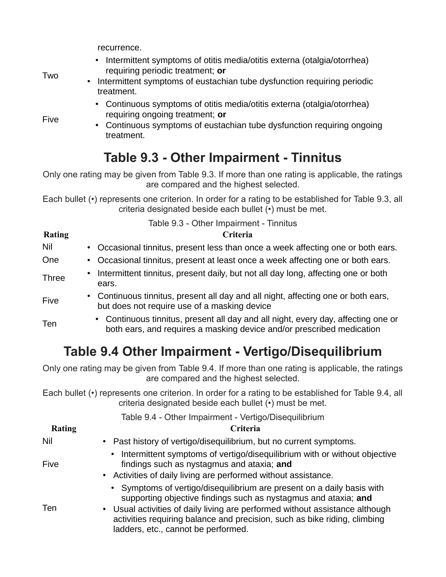recurrence.

• Intermittent symptoms of otitis media/otitis externa (otalgia/otorrhea) requiring periodic treatment; **or**

Two

Five

- Intermittent symptoms of eustachian tube dysfunction requiring periodic treatment.
	- Continuous symptoms of otitis media/otitis externa (otalgia/otorrhea) requiring ongoing treatment; **or**
	- Continuous symptoms of eustachian tube dysfunction requiring ongoing treatment.

# **Table 9.3 - Other Impairment - Tinnitus**

Only one rating may be given from Table 9.3. If more than one rating is applicable, the ratings are compared and the highest selected.

Each bullet (•) represents one criterion. In order for a rating to be established for Table 9.3, all criteria designated beside each bullet (•) must be met.

| Table 9.3 - Other Impairment - Tinnitus |                                                                                                                                                            |  |
|-----------------------------------------|------------------------------------------------------------------------------------------------------------------------------------------------------------|--|
| Rating                                  | Criteria                                                                                                                                                   |  |
| Nil                                     | • Occasional tinnitus, present less than once a week affecting one or both ears.                                                                           |  |
| One                                     | • Occasional tinnitus, present at least once a week affecting one or both ears.                                                                            |  |
| <b>Three</b>                            | • Intermittent tinnitus, present daily, but not all day long, affecting one or both<br>ears.                                                               |  |
| Five                                    | • Continuous tinnitus, present all day and all night, affecting one or both ears,<br>but does not require use of a masking device                          |  |
| Ten                                     | • Continuous tinnitus, present all day and all night, every day, affecting one or<br>both ears, and requires a masking device and/or prescribed medication |  |

# **Table 9.4 Other Impairment - Vertigo/Disequilibrium**

Only one rating may be given from Table 9.4. If more than one rating is applicable, the ratings are compared and the highest selected.

Each bullet (•) represents one criterion. In order for a rating to be established for Table 9.4, all criteria designated beside each bullet (•) must be met.

#### Table 9.4 - Other Impairment - Vertigo/Disequilibrium

| <b>Rating</b> | Criteria                                                                                                                                                                                                                                                                                                                                      |
|---------------|-----------------------------------------------------------------------------------------------------------------------------------------------------------------------------------------------------------------------------------------------------------------------------------------------------------------------------------------------|
| Nil           | • Past history of vertigo/disequilibrium, but no current symptoms.                                                                                                                                                                                                                                                                            |
| Five          | • Intermittent symptoms of vertigo/disequilibrium with or without objective<br>findings such as nystagmus and ataxia; and<br>• Activities of daily living are performed without assistance.                                                                                                                                                   |
| <b>Ten</b>    | • Symptoms of vertigo/disequilibrium are present on a daily basis with<br>supporting objective findings such as nystagmus and ataxia; and<br>• Usual activities of daily living are performed without assistance although<br>activities requiring balance and precision, such as bike riding, climbing<br>ladders, etc., cannot be performed. |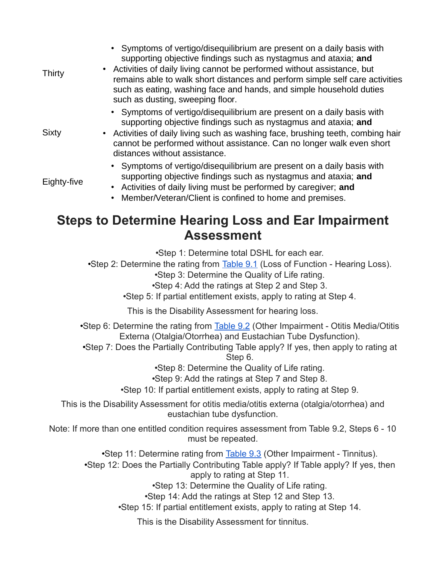| Thirty                                                                         | • Symptoms of vertigo/disequilibrium are present on a daily basis with<br>supporting objective findings such as nystagmus and ataxia; and<br>Activities of daily living cannot be performed without assistance, but<br>٠<br>remains able to walk short distances and perform simple self care activities<br>such as eating, washing face and hands, and simple household duties<br>such as dusting, sweeping floor. |  |  |
|--------------------------------------------------------------------------------|---------------------------------------------------------------------------------------------------------------------------------------------------------------------------------------------------------------------------------------------------------------------------------------------------------------------------------------------------------------------------------------------------------------------|--|--|
| Sixty                                                                          | • Symptoms of vertigo/disequilibrium are present on a daily basis with<br>supporting objective findings such as nystagmus and ataxia; and<br>• Activities of daily living such as washing face, brushing teeth, combing hair<br>cannot be performed without assistance. Can no longer walk even short<br>distances without assistance.                                                                              |  |  |
| Eighty-five                                                                    | • Symptoms of vertigo/disequilibrium are present on a daily basis with<br>supporting objective findings such as nystagmus and ataxia; and<br>Activities of daily living must be performed by caregiver; and<br>$\bullet$<br>Member/Veteran/Client is confined to home and premises.<br>$\bullet$                                                                                                                    |  |  |
| <b>Steps to Determine Hearing Loss and Ear Impairment</b><br><b>Assessment</b> |                                                                                                                                                                                                                                                                                                                                                                                                                     |  |  |
|                                                                                | •Step 1: Determine total DSHL for each ear.<br>•Step 2: Determine the rating from Table 9.1 (Loss of Function - Hearing Loss).<br>•Step 3: Determine the Quality of Life rating.<br>•Step 4: Add the ratings at Step 2 and Step 3.                                                                                                                                                                                  |  |  |

•Step 5: If partial entitlement exists, apply to rating at Step 4.

This is the Disability Assessment for hearing loss.

•Step 6: Determine the rating from [Table 9.2](https://www.veterans.gc.ca/eng/health-support/physical-health-and-wellness/compensation-illness-injury/disability-benefits/benefits-determined/table-of-disabilities/ch-09-2006#t02) (Other Impairment - Otitis Media/Otitis Externa (Otalgia/Otorrhea) and Eustachian Tube Dysfunction).

•Step 7: Does the Partially Contributing Table apply? If yes, then apply to rating at Step 6.

•Step 8: Determine the Quality of Life rating.

•Step 9: Add the ratings at Step 7 and Step 8.

•Step 10: If partial entitlement exists, apply to rating at Step 9.

This is the Disability Assessment for otitis media/otitis externa (otalgia/otorrhea) and eustachian tube dysfunction.

Note: If more than one entitled condition requires assessment from Table 9.2, Steps 6 - 10 must be repeated.

•Step 11: Determine rating from [Table 9.3](https://www.veterans.gc.ca/eng/health-support/physical-health-and-wellness/compensation-illness-injury/disability-benefits/benefits-determined/table-of-disabilities/ch-09-2006#t03) (Other Impairment - Tinnitus).

•Step 12: Does the Partially Contributing Table apply? If Table apply? If yes, then apply to rating at Step 11.

•Step 13: Determine the Quality of Life rating.

•Step 14: Add the ratings at Step 12 and Step 13.

•Step 15: If partial entitlement exists, apply to rating at Step 14.

This is the Disability Assessment for tinnitus.